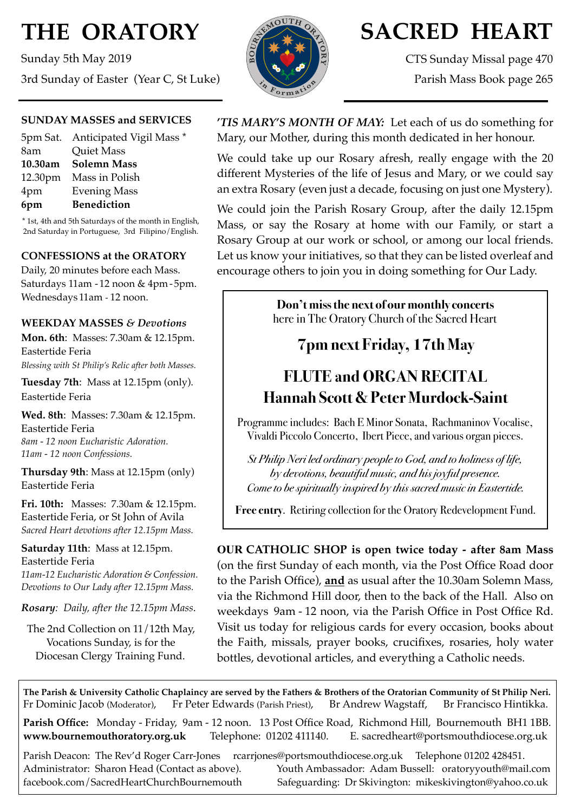# **THE ORATORY**

Sunday 5th May 2019 3rd Sunday of Easter (Year C, St Luke)



# **SACRED HEART**

CTS Sunday Missal page 470 Parish Mass Book page 265

## **SUNDAY MASSES and SERVICES**

| 5pm Sat. Anticipated Vigil Mass * |
|-----------------------------------|
| <b>Quiet Mass</b>                 |
| <b>Solemn Mass</b>                |
| Mass in Polish                    |
| <b>Evening Mass</b>               |
| <b>Benediction</b>                |
|                                   |

\* 1st, 4th and 5th Saturdays of the month in English, 2nd Saturday in Portuguese, 3rd Filipino/English.

## **CONFESSIONS at the ORATORY**

Daily, 20 minutes before each Mass. Saturdays 11am - 12 noon & 4pm- 5pm. Wednesdays 11am - 12 noon.

### **WEEKDAY MASSES** *& Devotions*

**Mon. 6th**: Masses: 7.30am & 12.15pm. Eastertide Feria *Blessing with St Philip's Relic after both Masses.*

**Tuesday 7th**: Mass at 12.15pm (only). Eastertide Feria

**Wed. 8th**: Masses: 7.30am & 12.15pm. Eastertide Feria *8am - 12 noon Eucharistic Adoration. 11am - 12 noon Confessions.*

**Thursday 9th**: Mass at 12.15pm (only) Eastertide Feria

**Fri. 10th:** Masses: 7.30am & 12.15pm. Eastertide Feria, or St John of Avila *Sacred Heart devotions after 12.15pm Mass.*

**Saturday 11th**: Mass at 12.15pm. Eastertide Feria *11am-12 Eucharistic Adoration & Confession. Devotions to Our Lady after 12.15pm Mass.*

*Rosary: Daily, after the 12.15pm Mass*.

The 2nd Collection on 11/12th May, Vocations Sunday, is for the Diocesan Clergy Training Fund.

**'***TIS MARY'S MONTH OF MAY:* Let each of us do something for Mary, our Mother, during this month dedicated in her honour.

We could take up our Rosary afresh, really engage with the 20 different Mysteries of the life of Jesus and Mary, or we could say an extra Rosary (even just a decade, focusing on just one Mystery).

We could join the Parish Rosary Group, after the daily 12.15pm Mass, or say the Rosary at home with our Family, or start a Rosary Group at our work or school, or among our local friends. Let us know your initiatives, so that they can be listed overleaf and encourage others to join you in doing something for Our Lady.

> **Don't miss the next of our monthly concerts**  here in The Oratory Church of the Sacred Heart

# **7pm next Friday, 17th May**

# **FLUTE and ORGAN RECITAL Hannah Scott & Peter Murdock-Saint**

Programme includes: Bach E Minor Sonata, Rachmaninov Vocalise, Vivaldi Piccolo Concerto, Ibert Piece, and various organ pieces.

*St Philip Neri led ordinary people to God, and to holiness of life, by devotions, beautiful music, and his joyful presence. Come to be spiritually inspired by this sacred music in Eastertide.* 

**Free entry**. Retiring collection for the Oratory Redevelopment Fund.

**OUR CATHOLIC SHOP is open twice today - after 8am Mass**  (on the first Sunday of each month, via the Post Office Road door to the Parish Office), **and** as usual after the 10.30am Solemn Mass, via the Richmond Hill door, then to the back of the Hall. Also on weekdays 9am - 12 noon, via the Parish Office in Post Office Rd. Visit us today for religious cards for every occasion, books about the Faith, missals, prayer books, crucifixes, rosaries, holy water bottles, devotional articles, and everything a Catholic needs.

**The Parish & University Catholic Chaplaincy are served by the Fathers & Brothers of the Oratorian Community of St Philip Neri.** Fr Dominic Jacob (Moderator), Fr Peter Edwards (Parish Priest), Br Andrew Wagstaff, Br Francisco Hintikka.

**Parish Office:** Monday - Friday, 9am - 12 noon. 13 Post Office Road, Richmond Hill, Bournemouth BH1 1BB. **[www.bournemouthoratory.org.uk](http://www.bournemoithoratory.org.uk)** Telephone: 01202 411140. E. [sacredheart@portsmouthdiocese.org.uk](mailto:sacredheart@portsmouthdiocese.org.uk)

Parish Deacon: The Rev'd Roger Carr-Jones [rcarrjones@portsmouthdiocese.org.uk](mailto:rcarrjones@portsmouthdiocese.org.uk) Telephone 01202 428451. Administrator: Sharon Head (Contact as above). Youth Ambassador: Adam Bussell: [oratoryyouth@mail.com](http://oratoryyouth.mail.com) [facebook.com/SacredHeartChurchBournemouth](http://facebook.com/SaccredHeartChurchBournemouth) Safeguarding: Dr Skivington: mikeskivington@yahoo.co.uk